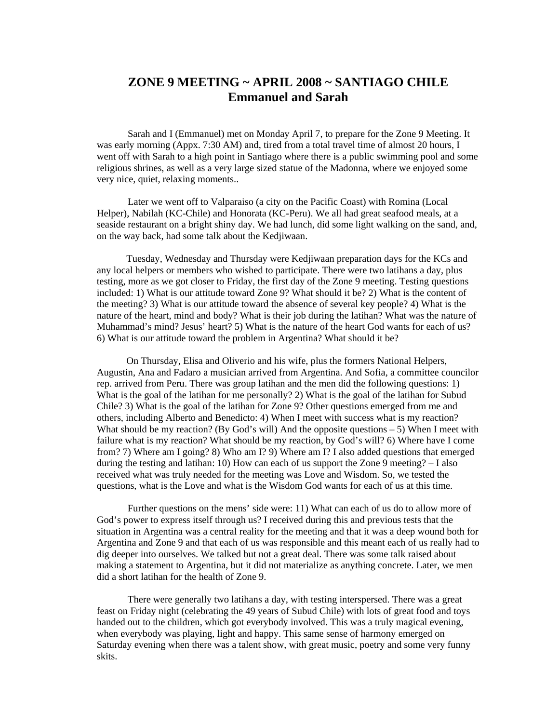## **ZONE 9 MEETING ~ APRIL 2008 ~ SANTIAGO CHILE Emmanuel and Sarah**

Sarah and I (Emmanuel) met on Monday April 7, to prepare for the Zone 9 Meeting. It was early morning (Appx. 7:30 AM) and, tired from a total travel time of almost 20 hours, I went off with Sarah to a high point in Santiago where there is a public swimming pool and some religious shrines, as well as a very large sized statue of the Madonna, where we enjoyed some very nice, quiet, relaxing moments..

Later we went off to Valparaiso (a city on the Pacific Coast) with Romina (Local Helper), Nabilah (KC-Chile) and Honorata (KC-Peru). We all had great seafood meals, at a seaside restaurant on a bright shiny day. We had lunch, did some light walking on the sand, and, on the way back, had some talk about the Kedjiwaan.

 Tuesday, Wednesday and Thursday were Kedjiwaan preparation days for the KCs and any local helpers or members who wished to participate. There were two latihans a day, plus testing, more as we got closer to Friday, the first day of the Zone 9 meeting. Testing questions included: 1) What is our attitude toward Zone 9? What should it be? 2) What is the content of the meeting? 3) What is our attitude toward the absence of several key people? 4) What is the nature of the heart, mind and body? What is their job during the latihan? What was the nature of Muhammad's mind? Jesus' heart? 5) What is the nature of the heart God wants for each of us? 6) What is our attitude toward the problem in Argentina? What should it be?

 On Thursday, Elisa and Oliverio and his wife, plus the formers National Helpers, Augustin, Ana and Fadaro a musician arrived from Argentina. And Sofia, a committee councilor rep. arrived from Peru. There was group latihan and the men did the following questions: 1) What is the goal of the latihan for me personally? 2) What is the goal of the latihan for Subud Chile? 3) What is the goal of the latihan for Zone 9? Other questions emerged from me and others, including Alberto and Benedicto: 4) When I meet with success what is my reaction? What should be my reaction? (By God's will) And the opposite questions  $-5$ ) When I meet with failure what is my reaction? What should be my reaction, by God's will? 6) Where have I come from? 7) Where am I going? 8) Who am I? 9) Where am I? I also added questions that emerged during the testing and latihan: 10) How can each of us support the Zone 9 meeting?  $-1$  also received what was truly needed for the meeting was Love and Wisdom. So, we tested the questions, what is the Love and what is the Wisdom God wants for each of us at this time.

Further questions on the mens' side were: 11) What can each of us do to allow more of God's power to express itself through us? I received during this and previous tests that the situation in Argentina was a central reality for the meeting and that it was a deep wound both for Argentina and Zone 9 and that each of us was responsible and this meant each of us really had to dig deeper into ourselves. We talked but not a great deal. There was some talk raised about making a statement to Argentina, but it did not materialize as anything concrete. Later, we men did a short latihan for the health of Zone 9.

There were generally two latihans a day, with testing interspersed. There was a great feast on Friday night (celebrating the 49 years of Subud Chile) with lots of great food and toys handed out to the children, which got everybody involved. This was a truly magical evening, when everybody was playing, light and happy. This same sense of harmony emerged on Saturday evening when there was a talent show, with great music, poetry and some very funny skits.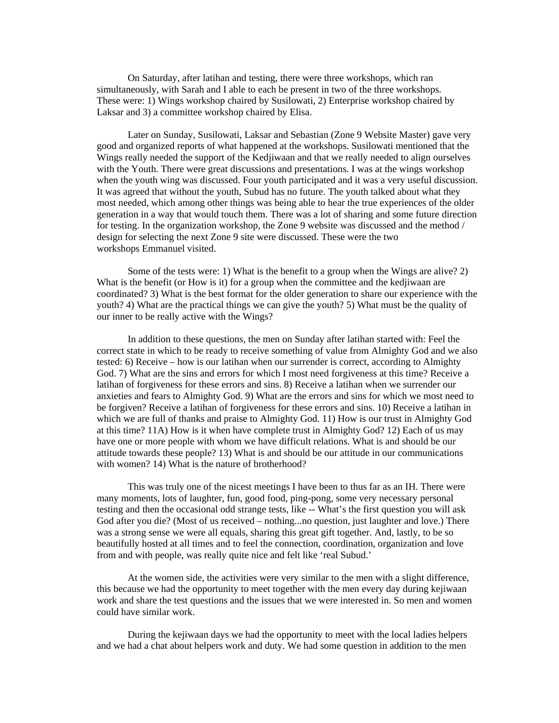On Saturday, after latihan and testing, there were three workshops, which ran simultaneously, with Sarah and I able to each be present in two of the three workshops. These were: 1) Wings workshop chaired by Susilowati, 2) Enterprise workshop chaired by Laksar and 3) a committee workshop chaired by Elisa.

Later on Sunday, Susilowati, Laksar and Sebastian (Zone 9 Website Master) gave very good and organized reports of what happened at the workshops. Susilowati mentioned that the Wings really needed the support of the Kedjiwaan and that we really needed to align ourselves with the Youth. There were great discussions and presentations. I was at the wings workshop when the youth wing was discussed. Four youth participated and it was a very useful discussion. It was agreed that without the youth, Subud has no future. The youth talked about what they most needed, which among other things was being able to hear the true experiences of the older generation in a way that would touch them. There was a lot of sharing and some future direction for testing. In the organization workshop, the Zone 9 website was discussed and the method / design for selecting the next Zone 9 site were discussed. These were the two workshops Emmanuel visited.

Some of the tests were: 1) What is the benefit to a group when the Wings are alive? 2) What is the benefit (or How is it) for a group when the committee and the kedjiwaan are coordinated? 3) What is the best format for the older generation to share our experience with the youth? 4) What are the practical things we can give the youth? 5) What must be the quality of our inner to be really active with the Wings?

In addition to these questions, the men on Sunday after latihan started with: Feel the correct state in which to be ready to receive something of value from Almighty God and we also tested: 6) Receive – how is our latihan when our surrender is correct, according to Almighty God. 7) What are the sins and errors for which I most need forgiveness at this time? Receive a latihan of forgiveness for these errors and sins. 8) Receive a latihan when we surrender our anxieties and fears to Almighty God. 9) What are the errors and sins for which we most need to be forgiven? Receive a latihan of forgiveness for these errors and sins. 10) Receive a latihan in which we are full of thanks and praise to Almighty God. 11) How is our trust in Almighty God at this time? 11A) How is it when have complete trust in Almighty God? 12) Each of us may have one or more people with whom we have difficult relations. What is and should be our attitude towards these people? 13) What is and should be our attitude in our communications with women? 14) What is the nature of brotherhood?

This was truly one of the nicest meetings I have been to thus far as an IH. There were many moments, lots of laughter, fun, good food, ping-pong, some very necessary personal testing and then the occasional odd strange tests, like -- What's the first question you will ask God after you die? (Most of us received – nothing...no question, just laughter and love.) There was a strong sense we were all equals, sharing this great gift together. And, lastly, to be so beautifully hosted at all times and to feel the connection, coordination, organization and love from and with people, was really quite nice and felt like 'real Subud.'

At the women side, the activities were very similar to the men with a slight difference, this because we had the opportunity to meet together with the men every day during kejiwaan work and share the test questions and the issues that we were interested in. So men and women could have similar work.

During the kejiwaan days we had the opportunity to meet with the local ladies helpers and we had a chat about helpers work and duty. We had some question in addition to the men